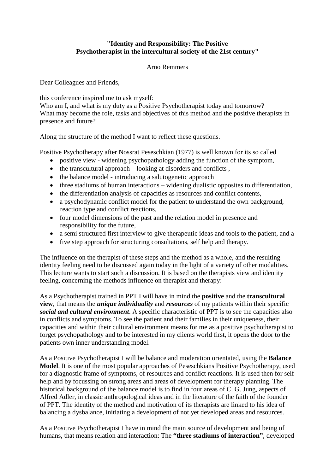## **"Identity and Responsibility: The Positive Psychotherapist in the intercultural society of the 21st century"**

Arno Remmers

Dear Colleagues and Friends,

this conference inspired me to ask myself:

Who am I, and what is my duty as a Positive Psychotherapist today and tomorrow? What may become the role, tasks and objectives of this method and the positive therapists in presence and future?

Along the structure of the method I want to reflect these questions.

Positive Psychotherapy after Nossrat Peseschkian (1977) is well known for its so called

- positive view widening psychopathology adding the function of the symptom,
- $\bullet$  the transcultural approach looking at disorders and conflicts,
- the balance model introducing a salutogenetic approach
- three stadiums of human interactions widening dualistic opposites to differentiation,
- the differentiation analysis of capacities as resources and conflict contents,
- a psychodynamic conflict model for the patient to understand the own background, reaction type and conflict reactions,
- four model dimensions of the past and the relation model in presence and responsibility for the future,
- a semi structured first interview to give therapeutic ideas and tools to the patient, and a
- five step approach for structuring consultations, self help and therapy.

The influence on the therapist of these steps and the method as a whole, and the resulting identity feeling need to be discussed again today in the light of a variety of other modalities. This lecture wants to start such a discussion. It is based on the therapists view and identity feeling, concerning the methods influence on therapist and therapy:

As a Psychotherapist trained in PPT I will have in mind the **positive** and the **transcultural view**, that means the *unique individuality* and *resources* of my patients within their specific *social and cultural environment*. A specific characteristic of PPT is to see the capacities also in conflicts and symptoms. To see the patient and their families in their uniqueness, their capacities and within their cultural environment means for me as a positive psychotherapist to forget psychopathology and to be interested in my clients world first, it opens the door to the patients own inner understanding model.

As a Positive Psychotherapist I will be balance and moderation orientated, using the **Balance Model**. It is one of the most popular approaches of Peseschkians Positive Psychotherapy, used for a diagnostic frame of symptoms, of resources and conflict reactions. It is used then for self help and by focussing on strong areas and areas of development for therapy planning. The historical background of the balance model is to find in four areas of C. G. Jung, aspects of Alfred Adler, in classic anthropological ideas and in the literature of the faith of the founder of PPT. The identity of the method and motivation of its therapists are linked to his idea of balancing a dysbalance, initiating a development of not yet developed areas and resources.

As a Positive Psychotherapist I have in mind the main source of development and being of humans, that means relation and interaction: The **"three stadiums of interaction"**, developed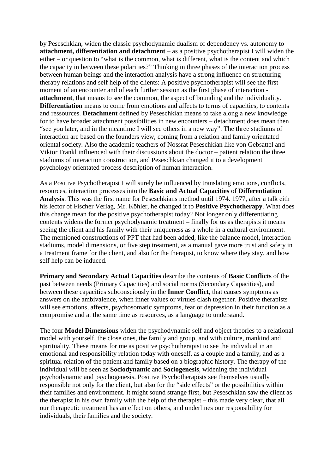by Peseschkian, widen the classic psychodynamic dualism of dependency vs. autonomy to **attachment, differentiation and detachment** – as a positive psychotherapist I will widen the either – or question to "what is the common, what is different, what is the content and which the capacity in between these polarities?" Thinking in three phases of the interaction process between human beings and the interaction analysis have a strong influence on structuring therapy relations and self help of the clients: A positive psychotherapist will see the first moment of an encounter and of each further session as the first phase of interaction **attachment**, that means to see the common, the aspect of bounding and the individuality. **Differentiation** means to come from emotions and affects to terms of capacities, to contents and ressources. **Detachment** defined by Peseschkian means to take along a new knowledge for to have broader attachment possibilities in new encounters – detachment does mean then "see you later, and in the meantime I will see others in a new way". The three stadiums of interaction are based on the founders view, coming from a relation and family orientated oriental society. Also the academic teachers of Nossrat Peseschkian like von Gebsattel and Viktor Frankl influenced with their discussions about the doctor – patient relation the three stadiums of interaction construction, and Peseschkian changed it to a development psychology orientated process description of human interaction.

As a Positive Psychotherapist I will surely be influenced by translating emotions, conflicts, resources, interaction processes into the **Basic and Actual Capacities** of **Differentiation Analysis**. This was the first name for Peseschkians method until 1974. 1977, after a talk eith his lector of Fischer Verlag, Mr. Köhler, he changed it to **Positive Psychotherapy**. What does this change mean for the positive psychotherapist today? Not longer only differentiating contents widens the former psychodynamic treatment – finally for us as therapists it means seeing the client and his family with their uniqueness as a whole in a cultural environment. The mentioned constructions of PPT that had been added, like the balance model, interaction stadiums, model dimensions, or five step treatment, as a manual gave more trust and safety in a treatment frame for the client, and also for the therapist, to know where they stay, and how self help can be induced.

**Primary and Secondary Actual Capacities** describe the contents of **Basic Conflicts** of the past between needs (Primary Capacities) and social norms (Secondary Capacities), and between these capacities subconsciously in the **Inner Conflict**, that causes symptoms as answers on the ambivalence, when inner values or virtues clash together. Positive therapists will see emotions, affects, psychosomatic symptoms, fear or depression in their function as a compromise and at the same time as resources, as a language to understand.

The four **Model Dimensions** widen the psychodynamic self and object theories to a relational model with yourself, the close ones, the family and group, and with culture, mankind and spirituality. These means for me as positive psychotherapist to see the individual in an emotional and responsibility relation today with oneself, as a couple and a family, and as a spiritual relation of the patient and family based on a biographic history. The therapy of the individual will be seen as **Sociodynamic** and **Sociogenesis**, widening the individual psychodynamic and psychogenesis. Positive Psychotherapists see themselves usually responsible not only for the client, but also for the "side effects" or the possibilities within their families and environment. It might sound strange first, but Peseschkian saw the client as the therapist in his own family with the help of the therapist – this made very clear, that all our therapeutic treatment has an effect on others, and underlines our responsibility for individuals, their families and the society.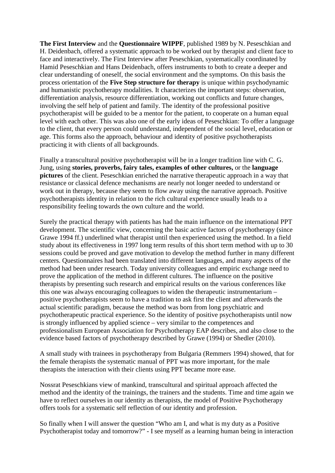**The First Interview** and the **Questionnaire WIPPF**, published 1989 by N. Peseschkian and H. Deidenbach, offered a systematic approach to be worked out by therapist and client face to face and interactively. The First Interview after Peseschkian, systematically coordinated by Hamid Peseschkian and Hans Deidenbach, offers instruments to both to create a deeper and clear understanding of oneself, the social environment and the symptoms. On this basis the process orientation of the **Five Step structure for therapy** is unique within psychodynamic and humanistic psychotherapy modalities. It characterizes the important steps: observation, differentiation analysis, resource differentiation, working out conflicts and future changes, involving the self help of patient and family. The identity of the professional positive psychotherapist will be guided to be a mentor for the patient, to cooperate on a human equal level with each other. This was also one of the early ideas of Peseschkian: To offer a language to the client, that every person could understand, independent of the social level, education or age. This forms also the approach, behaviour and identity of positive psychotherapists practicing it with clients of all backgrounds.

Finally a transcultural positive psychotherapist will be in a longer tradition line with C. G. Jung, using **stories, proverbs, fairy tales, examples of other cultures,** or the **language pictures** of the client. Peseschkian enriched the narrative therapeutic approach in a way that resistance or classical defence mechanisms are nearly not longer needed to understand or work out in therapy, because they seem to flow away using the narrative approach. Positive psychotherapists identity in relation to the rich cultural experience usually leads to a responsibility feeling towards the own culture and the world.

Surely the practical therapy with patients has had the main influence on the international PPT development. The scientific view, concerning the basic active factors of psychotherapy (since Grawe 1994 ff.) underlined what therapist until then experienced using the method. In a field study about its effectiveness in 1997 long term results of this short term method with up to 30 sessions could be proved and gave motivation to develop the method further in many different centers. Questionnaires had been translated into different languages, and many aspects of the method had been under research. Today university colleagues and empiric exchange need to prove the application of the method in different cultures. The influence on the positive therapists by presenting such research and empirical results on the various conferences like this one was always encouraging colleagues to widen the therapeutic instrumentarium – positive psychotherapists seem to have a tradition to ask first the client and afterwards the actual scientific paradigm, because the method was born from long psychiatric and psychotherapeutic practical experience. So the identity of positive psychotherapists until now is strongly influenced by applied science – very similar to the competences and professionalism European Association for Psychotherapy EAP describes, and also close to the evidence based factors of psychotherapy described by Grawe (1994) or Shedler (2010).

A small study with trainees in psychotherapy from Bulgaria (Remmers 1994) showed, that for the female therapists the systematic manual of PPT was more important, for the male therapists the interaction with their clients using PPT became more ease.

Nossrat Peseschkians view of mankind, transcultural and spiritual approach affected the method and the identity of the trainings, the trainers and the students. Time and time again we have to reflect ourselves in our identity as therapists, the model of Positive Psychotherapy offers tools for a systematic self reflection of our identity and profession.

So finally when I will answer the question "Who am I, and what is my duty as a Positive Psychotherapist today and tomorrow?" - I see myself as a learning human being in interaction